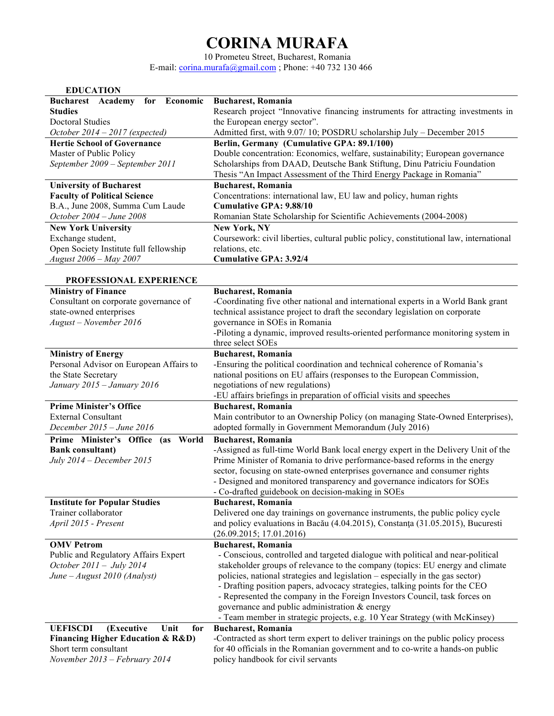## **CORINA MURAFA**

10 Prometeu Street, Bucharest, Romania E-mail: corina.murafa@gmail.com ; Phone:  $+40$  732 130 466

| Economic<br><b>Bucharest</b> Academy<br>for<br><b>Bucharest, Romania</b><br>Research project "Innovative financing instruments for attracting investments in<br><b>Studies</b><br><b>Doctoral Studies</b><br>the European energy sector".<br>October $2014 - 2017$ (expected)<br>Admitted first, with 9.07/10; POSDRU scholarship July - December 2015<br>Berlin, Germany (Cumulative GPA: 89.1/100)<br><b>Hertie School of Governance</b><br>Double concentration: Economics, welfare, sustainability; European governance<br>Master of Public Policy<br>Scholarships from DAAD, Deutsche Bank Stiftung, Dinu Patriciu Foundation<br>September 2009 - September 2011<br>Thesis "An Impact Assessment of the Third Energy Package in Romania"<br><b>Bucharest, Romania</b><br><b>University of Bucharest</b><br><b>Faculty of Political Science</b><br>Concentrations: international law, EU law and policy, human rights<br>B.A., June 2008, Summa Cum Laude<br><b>Cumulative GPA: 9.88/10</b><br>October 2004 - June 2008<br>Romanian State Scholarship for Scientific Achievements (2004-2008)<br><b>New York University</b><br><b>New York, NY</b><br>Exchange student,<br>Coursework: civil liberties, cultural public policy, constitutional law, international<br>Open Society Institute full fellowship<br>relations, etc.<br>August 2006 - May 2007<br><b>Cumulative GPA: 3.92/4</b><br>PROFESSIONAL EXPERIENCE<br><b>Ministry of Finance</b><br><b>Bucharest, Romania</b><br>Consultant on corporate governance of<br>-Coordinating five other national and international experts in a World Bank grant<br>state-owned enterprises<br>technical assistance project to draft the secondary legislation on corporate<br>governance in SOEs in Romania<br>August - November 2016 |
|-----------------------------------------------------------------------------------------------------------------------------------------------------------------------------------------------------------------------------------------------------------------------------------------------------------------------------------------------------------------------------------------------------------------------------------------------------------------------------------------------------------------------------------------------------------------------------------------------------------------------------------------------------------------------------------------------------------------------------------------------------------------------------------------------------------------------------------------------------------------------------------------------------------------------------------------------------------------------------------------------------------------------------------------------------------------------------------------------------------------------------------------------------------------------------------------------------------------------------------------------------------------------------------------------------------------------------------------------------------------------------------------------------------------------------------------------------------------------------------------------------------------------------------------------------------------------------------------------------------------------------------------------------------------------------------------------------------------------------------------------------------------------------------------|
|                                                                                                                                                                                                                                                                                                                                                                                                                                                                                                                                                                                                                                                                                                                                                                                                                                                                                                                                                                                                                                                                                                                                                                                                                                                                                                                                                                                                                                                                                                                                                                                                                                                                                                                                                                                         |
|                                                                                                                                                                                                                                                                                                                                                                                                                                                                                                                                                                                                                                                                                                                                                                                                                                                                                                                                                                                                                                                                                                                                                                                                                                                                                                                                                                                                                                                                                                                                                                                                                                                                                                                                                                                         |
|                                                                                                                                                                                                                                                                                                                                                                                                                                                                                                                                                                                                                                                                                                                                                                                                                                                                                                                                                                                                                                                                                                                                                                                                                                                                                                                                                                                                                                                                                                                                                                                                                                                                                                                                                                                         |
|                                                                                                                                                                                                                                                                                                                                                                                                                                                                                                                                                                                                                                                                                                                                                                                                                                                                                                                                                                                                                                                                                                                                                                                                                                                                                                                                                                                                                                                                                                                                                                                                                                                                                                                                                                                         |
|                                                                                                                                                                                                                                                                                                                                                                                                                                                                                                                                                                                                                                                                                                                                                                                                                                                                                                                                                                                                                                                                                                                                                                                                                                                                                                                                                                                                                                                                                                                                                                                                                                                                                                                                                                                         |
|                                                                                                                                                                                                                                                                                                                                                                                                                                                                                                                                                                                                                                                                                                                                                                                                                                                                                                                                                                                                                                                                                                                                                                                                                                                                                                                                                                                                                                                                                                                                                                                                                                                                                                                                                                                         |
|                                                                                                                                                                                                                                                                                                                                                                                                                                                                                                                                                                                                                                                                                                                                                                                                                                                                                                                                                                                                                                                                                                                                                                                                                                                                                                                                                                                                                                                                                                                                                                                                                                                                                                                                                                                         |
|                                                                                                                                                                                                                                                                                                                                                                                                                                                                                                                                                                                                                                                                                                                                                                                                                                                                                                                                                                                                                                                                                                                                                                                                                                                                                                                                                                                                                                                                                                                                                                                                                                                                                                                                                                                         |
|                                                                                                                                                                                                                                                                                                                                                                                                                                                                                                                                                                                                                                                                                                                                                                                                                                                                                                                                                                                                                                                                                                                                                                                                                                                                                                                                                                                                                                                                                                                                                                                                                                                                                                                                                                                         |
|                                                                                                                                                                                                                                                                                                                                                                                                                                                                                                                                                                                                                                                                                                                                                                                                                                                                                                                                                                                                                                                                                                                                                                                                                                                                                                                                                                                                                                                                                                                                                                                                                                                                                                                                                                                         |
|                                                                                                                                                                                                                                                                                                                                                                                                                                                                                                                                                                                                                                                                                                                                                                                                                                                                                                                                                                                                                                                                                                                                                                                                                                                                                                                                                                                                                                                                                                                                                                                                                                                                                                                                                                                         |
|                                                                                                                                                                                                                                                                                                                                                                                                                                                                                                                                                                                                                                                                                                                                                                                                                                                                                                                                                                                                                                                                                                                                                                                                                                                                                                                                                                                                                                                                                                                                                                                                                                                                                                                                                                                         |
|                                                                                                                                                                                                                                                                                                                                                                                                                                                                                                                                                                                                                                                                                                                                                                                                                                                                                                                                                                                                                                                                                                                                                                                                                                                                                                                                                                                                                                                                                                                                                                                                                                                                                                                                                                                         |
|                                                                                                                                                                                                                                                                                                                                                                                                                                                                                                                                                                                                                                                                                                                                                                                                                                                                                                                                                                                                                                                                                                                                                                                                                                                                                                                                                                                                                                                                                                                                                                                                                                                                                                                                                                                         |
|                                                                                                                                                                                                                                                                                                                                                                                                                                                                                                                                                                                                                                                                                                                                                                                                                                                                                                                                                                                                                                                                                                                                                                                                                                                                                                                                                                                                                                                                                                                                                                                                                                                                                                                                                                                         |
|                                                                                                                                                                                                                                                                                                                                                                                                                                                                                                                                                                                                                                                                                                                                                                                                                                                                                                                                                                                                                                                                                                                                                                                                                                                                                                                                                                                                                                                                                                                                                                                                                                                                                                                                                                                         |
|                                                                                                                                                                                                                                                                                                                                                                                                                                                                                                                                                                                                                                                                                                                                                                                                                                                                                                                                                                                                                                                                                                                                                                                                                                                                                                                                                                                                                                                                                                                                                                                                                                                                                                                                                                                         |
|                                                                                                                                                                                                                                                                                                                                                                                                                                                                                                                                                                                                                                                                                                                                                                                                                                                                                                                                                                                                                                                                                                                                                                                                                                                                                                                                                                                                                                                                                                                                                                                                                                                                                                                                                                                         |
|                                                                                                                                                                                                                                                                                                                                                                                                                                                                                                                                                                                                                                                                                                                                                                                                                                                                                                                                                                                                                                                                                                                                                                                                                                                                                                                                                                                                                                                                                                                                                                                                                                                                                                                                                                                         |
|                                                                                                                                                                                                                                                                                                                                                                                                                                                                                                                                                                                                                                                                                                                                                                                                                                                                                                                                                                                                                                                                                                                                                                                                                                                                                                                                                                                                                                                                                                                                                                                                                                                                                                                                                                                         |
|                                                                                                                                                                                                                                                                                                                                                                                                                                                                                                                                                                                                                                                                                                                                                                                                                                                                                                                                                                                                                                                                                                                                                                                                                                                                                                                                                                                                                                                                                                                                                                                                                                                                                                                                                                                         |
| -Piloting a dynamic, improved results-oriented performance monitoring system in                                                                                                                                                                                                                                                                                                                                                                                                                                                                                                                                                                                                                                                                                                                                                                                                                                                                                                                                                                                                                                                                                                                                                                                                                                                                                                                                                                                                                                                                                                                                                                                                                                                                                                         |
| three select SOEs                                                                                                                                                                                                                                                                                                                                                                                                                                                                                                                                                                                                                                                                                                                                                                                                                                                                                                                                                                                                                                                                                                                                                                                                                                                                                                                                                                                                                                                                                                                                                                                                                                                                                                                                                                       |
| <b>Ministry of Energy</b><br><b>Bucharest, Romania</b>                                                                                                                                                                                                                                                                                                                                                                                                                                                                                                                                                                                                                                                                                                                                                                                                                                                                                                                                                                                                                                                                                                                                                                                                                                                                                                                                                                                                                                                                                                                                                                                                                                                                                                                                  |
| Personal Advisor on European Affairs to<br>-Ensuring the political coordination and technical coherence of Romania's                                                                                                                                                                                                                                                                                                                                                                                                                                                                                                                                                                                                                                                                                                                                                                                                                                                                                                                                                                                                                                                                                                                                                                                                                                                                                                                                                                                                                                                                                                                                                                                                                                                                    |
| the State Secretary<br>national positions on EU affairs (responses to the European Commission,                                                                                                                                                                                                                                                                                                                                                                                                                                                                                                                                                                                                                                                                                                                                                                                                                                                                                                                                                                                                                                                                                                                                                                                                                                                                                                                                                                                                                                                                                                                                                                                                                                                                                          |
| negotiations of new regulations)<br>January 2015 - January 2016                                                                                                                                                                                                                                                                                                                                                                                                                                                                                                                                                                                                                                                                                                                                                                                                                                                                                                                                                                                                                                                                                                                                                                                                                                                                                                                                                                                                                                                                                                                                                                                                                                                                                                                         |
| -EU affairs briefings in preparation of official visits and speeches<br><b>Prime Minister's Office</b><br><b>Bucharest, Romania</b>                                                                                                                                                                                                                                                                                                                                                                                                                                                                                                                                                                                                                                                                                                                                                                                                                                                                                                                                                                                                                                                                                                                                                                                                                                                                                                                                                                                                                                                                                                                                                                                                                                                     |
| <b>External Consultant</b><br>Main contributor to an Ownership Policy (on managing State-Owned Enterprises),                                                                                                                                                                                                                                                                                                                                                                                                                                                                                                                                                                                                                                                                                                                                                                                                                                                                                                                                                                                                                                                                                                                                                                                                                                                                                                                                                                                                                                                                                                                                                                                                                                                                            |
| adopted formally in Government Memorandum (July 2016)<br>December 2015 - June 2016                                                                                                                                                                                                                                                                                                                                                                                                                                                                                                                                                                                                                                                                                                                                                                                                                                                                                                                                                                                                                                                                                                                                                                                                                                                                                                                                                                                                                                                                                                                                                                                                                                                                                                      |
| Prime Minister's Office (as World<br><b>Bucharest, Romania</b>                                                                                                                                                                                                                                                                                                                                                                                                                                                                                                                                                                                                                                                                                                                                                                                                                                                                                                                                                                                                                                                                                                                                                                                                                                                                                                                                                                                                                                                                                                                                                                                                                                                                                                                          |
| -Assigned as full-time World Bank local energy expert in the Delivery Unit of the<br><b>Bank consultant)</b>                                                                                                                                                                                                                                                                                                                                                                                                                                                                                                                                                                                                                                                                                                                                                                                                                                                                                                                                                                                                                                                                                                                                                                                                                                                                                                                                                                                                                                                                                                                                                                                                                                                                            |
| Prime Minister of Romania to drive performance-based reforms in the energy<br>July 2014 - December 2015                                                                                                                                                                                                                                                                                                                                                                                                                                                                                                                                                                                                                                                                                                                                                                                                                                                                                                                                                                                                                                                                                                                                                                                                                                                                                                                                                                                                                                                                                                                                                                                                                                                                                 |
| sector, focusing on state-owned enterprises governance and consumer rights                                                                                                                                                                                                                                                                                                                                                                                                                                                                                                                                                                                                                                                                                                                                                                                                                                                                                                                                                                                                                                                                                                                                                                                                                                                                                                                                                                                                                                                                                                                                                                                                                                                                                                              |
| - Designed and monitored transparency and governance indicators for SOEs                                                                                                                                                                                                                                                                                                                                                                                                                                                                                                                                                                                                                                                                                                                                                                                                                                                                                                                                                                                                                                                                                                                                                                                                                                                                                                                                                                                                                                                                                                                                                                                                                                                                                                                |
| - Co-drafted guidebook on decision-making in SOEs                                                                                                                                                                                                                                                                                                                                                                                                                                                                                                                                                                                                                                                                                                                                                                                                                                                                                                                                                                                                                                                                                                                                                                                                                                                                                                                                                                                                                                                                                                                                                                                                                                                                                                                                       |
| <b>Institute for Popular Studies</b><br><b>Bucharest, Romania</b>                                                                                                                                                                                                                                                                                                                                                                                                                                                                                                                                                                                                                                                                                                                                                                                                                                                                                                                                                                                                                                                                                                                                                                                                                                                                                                                                                                                                                                                                                                                                                                                                                                                                                                                       |
| Trainer collaborator<br>Delivered one day trainings on governance instruments, the public policy cycle                                                                                                                                                                                                                                                                                                                                                                                                                                                                                                                                                                                                                                                                                                                                                                                                                                                                                                                                                                                                                                                                                                                                                                                                                                                                                                                                                                                                                                                                                                                                                                                                                                                                                  |
| and policy evaluations in Bacău (4.04.2015), Constanța (31.05.2015), Bucuresti<br>April 2015 - Present                                                                                                                                                                                                                                                                                                                                                                                                                                                                                                                                                                                                                                                                                                                                                                                                                                                                                                                                                                                                                                                                                                                                                                                                                                                                                                                                                                                                                                                                                                                                                                                                                                                                                  |
| (26.09.2015; 17.01.2016)                                                                                                                                                                                                                                                                                                                                                                                                                                                                                                                                                                                                                                                                                                                                                                                                                                                                                                                                                                                                                                                                                                                                                                                                                                                                                                                                                                                                                                                                                                                                                                                                                                                                                                                                                                |
| <b>OMV Petrom</b><br><b>Bucharest, Romania</b>                                                                                                                                                                                                                                                                                                                                                                                                                                                                                                                                                                                                                                                                                                                                                                                                                                                                                                                                                                                                                                                                                                                                                                                                                                                                                                                                                                                                                                                                                                                                                                                                                                                                                                                                          |
|                                                                                                                                                                                                                                                                                                                                                                                                                                                                                                                                                                                                                                                                                                                                                                                                                                                                                                                                                                                                                                                                                                                                                                                                                                                                                                                                                                                                                                                                                                                                                                                                                                                                                                                                                                                         |
| Public and Regulatory Affairs Expert<br>- Conscious, controlled and targeted dialogue with political and near-political                                                                                                                                                                                                                                                                                                                                                                                                                                                                                                                                                                                                                                                                                                                                                                                                                                                                                                                                                                                                                                                                                                                                                                                                                                                                                                                                                                                                                                                                                                                                                                                                                                                                 |
| October 2011 - July 2014<br>stakeholder groups of relevance to the company (topics: EU energy and climate                                                                                                                                                                                                                                                                                                                                                                                                                                                                                                                                                                                                                                                                                                                                                                                                                                                                                                                                                                                                                                                                                                                                                                                                                                                                                                                                                                                                                                                                                                                                                                                                                                                                               |
| policies, national strategies and legislation – especially in the gas sector)<br>June – August 2010 (Analyst)                                                                                                                                                                                                                                                                                                                                                                                                                                                                                                                                                                                                                                                                                                                                                                                                                                                                                                                                                                                                                                                                                                                                                                                                                                                                                                                                                                                                                                                                                                                                                                                                                                                                           |
| - Drafting position papers, advocacy strategies, talking points for the CEO                                                                                                                                                                                                                                                                                                                                                                                                                                                                                                                                                                                                                                                                                                                                                                                                                                                                                                                                                                                                                                                                                                                                                                                                                                                                                                                                                                                                                                                                                                                                                                                                                                                                                                             |
| - Represented the company in the Foreign Investors Council, task forces on                                                                                                                                                                                                                                                                                                                                                                                                                                                                                                                                                                                                                                                                                                                                                                                                                                                                                                                                                                                                                                                                                                                                                                                                                                                                                                                                                                                                                                                                                                                                                                                                                                                                                                              |
| governance and public administration & energy                                                                                                                                                                                                                                                                                                                                                                                                                                                                                                                                                                                                                                                                                                                                                                                                                                                                                                                                                                                                                                                                                                                                                                                                                                                                                                                                                                                                                                                                                                                                                                                                                                                                                                                                           |
| - Team member in strategic projects, e.g. 10 Year Strategy (with McKinsey)                                                                                                                                                                                                                                                                                                                                                                                                                                                                                                                                                                                                                                                                                                                                                                                                                                                                                                                                                                                                                                                                                                                                                                                                                                                                                                                                                                                                                                                                                                                                                                                                                                                                                                              |
| <b>UEFISCDI</b><br>(Executive<br>Unit<br><b>Bucharest, Romania</b><br>for                                                                                                                                                                                                                                                                                                                                                                                                                                                                                                                                                                                                                                                                                                                                                                                                                                                                                                                                                                                                                                                                                                                                                                                                                                                                                                                                                                                                                                                                                                                                                                                                                                                                                                               |
| <b>Financing Higher Education &amp; R&amp;D)</b><br>-Contracted as short term expert to deliver trainings on the public policy process<br>Short term consultant<br>for 40 officials in the Romanian government and to co-write a hands-on public                                                                                                                                                                                                                                                                                                                                                                                                                                                                                                                                                                                                                                                                                                                                                                                                                                                                                                                                                                                                                                                                                                                                                                                                                                                                                                                                                                                                                                                                                                                                        |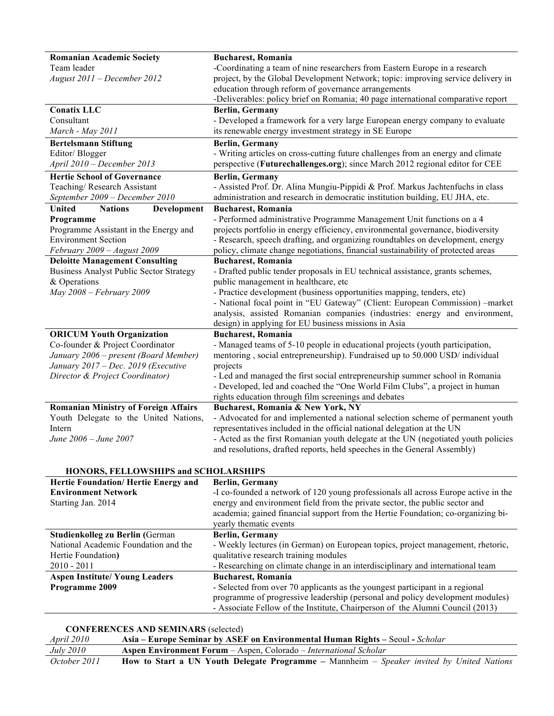| <b>Romanian Academic Society</b>               | <b>Bucharest, Romania</b>                                                          |
|------------------------------------------------|------------------------------------------------------------------------------------|
| Team leader                                    | -Coordinating a team of nine researchers from Eastern Europe in a research         |
| August 2011 - December 2012                    | project, by the Global Development Network; topic: improving service delivery in   |
|                                                | education through reform of governance arrangements                                |
|                                                | -Deliverables: policy brief on Romania; 40 page international comparative report   |
| <b>Conatix LLC</b>                             | <b>Berlin, Germany</b>                                                             |
| Consultant                                     | - Developed a framework for a very large European energy company to evaluate       |
| March - May 2011                               | its renewable energy investment strategy in SE Europe                              |
| <b>Bertelsmann Stiftung</b>                    | <b>Berlin, Germany</b>                                                             |
| Editor/Blogger                                 | - Writing articles on cross-cutting future challenges from an energy and climate   |
| April 2010 - December 2013                     | perspective (Futurechallenges.org); since March 2012 regional editor for CEE       |
| <b>Hertie School of Governance</b>             | <b>Berlin, Germany</b>                                                             |
| Teaching/Research Assistant                    | - Assisted Prof. Dr. Alina Mungiu-Pippidi & Prof. Markus Jachtenfuchs in class     |
| September 2009 - December 2010                 | administration and research in democratic institution building, EU JHA, etc.       |
| <b>United</b><br><b>Nations</b><br>Development | <b>Bucharest, Romania</b>                                                          |
| Programme                                      | - Performed administrative Programme Management Unit functions on a 4              |
| Programme Assistant in the Energy and          | projects portfolio in energy efficiency, environmental governance, biodiversity    |
| <b>Environment Section</b>                     | - Research, speech drafting, and organizing roundtables on development, energy     |
| February 2009 - August 2009                    | policy, climate change negotiations, financial sustainability of protected areas   |
| <b>Deloitte Management Consulting</b>          | <b>Bucharest, Romania</b>                                                          |
| <b>Business Analyst Public Sector Strategy</b> | - Drafted public tender proposals in EU technical assistance, grants schemes,      |
| & Operations                                   | public management in healthcare, etc                                               |
| May 2008 - February 2009                       | - Practice development (business opportunities mapping, tenders, etc)              |
|                                                | - National focal point in "EU Gateway" (Client: European Commission) -market       |
|                                                | analysis, assisted Romanian companies (industries: energy and environment,         |
|                                                | design) in applying for EU business missions in Asia                               |
| <b>ORICUM Youth Organization</b>               | <b>Bucharest, Romania</b>                                                          |
| Co-founder & Project Coordinator               | - Managed teams of 5-10 people in educational projects (youth participation,       |
| January 2006 - present (Board Member)          | mentoring, social entrepreneurship). Fundraised up to 50.000 USD/ individual       |
| January 2017 - Dec. 2019 (Executive            | projects                                                                           |
| Director & Project Coordinator)                | - Led and managed the first social entrepreneurship summer school in Romania       |
|                                                | - Developed, led and coached the "One World Film Clubs", a project in human        |
|                                                | rights education through film screenings and debates                               |
| <b>Romanian Ministry of Foreign Affairs</b>    | Bucharest, Romania & New York, NY                                                  |
| Youth Delegate to the United Nations,          | - Advocated for and implemented a national selection scheme of permanent youth     |
| Intern                                         | representatives included in the official national delegation at the UN             |
| June 2006 - June 2007                          | - Acted as the first Romanian youth delegate at the UN (negotiated youth policies  |
|                                                | and resolutions, drafted reports, held speeches in the General Assembly)           |
| HONORS, FELLOWSHIPS and SCHOLARSHIPS           |                                                                                    |
| Hertie Foundation/Hertie Energy and            | <b>Berlin, Germany</b>                                                             |
| <b>Environment Network</b>                     | -I co-founded a network of 120 young professionals all across Europe active in the |
| Starting Jan. 2014                             | energy and environment field from the private sector, the public sector and        |
|                                                | academia; gained financial support from the Hertie Foundation; co-organizing bi-   |
|                                                | yearly thematic events                                                             |
| Studienkolleg zu Berlin (German                | Berlin, Germany                                                                    |
| National Academic Foundation and the           | - Weekly lectures (in German) on European topics, project management, rhetoric,    |
| Hertie Foundation)                             | qualitative research training modules                                              |
| $2010 - 2011$                                  | - Researching on climate change in an interdisciplinary and international team     |
| <b>Aspen Institute/ Young Leaders</b>          | <b>Bucharest, Romania</b>                                                          |
| Programme 2009                                 | - Selected from over 70 applicants as the youngest participant in a regional       |
|                                                | programme of progressive leadership (personal and policy development modules)      |
|                                                | - Associate Fellow of the Institute, Chairperson of the Alumni Council (2013)      |
|                                                |                                                                                    |

**CONFERENCES AND SEMINARS** (selected)

*April 2010* **Asia – Europe Seminar by ASEF on Environmental Human Rights –** Seoul **-** *Scholar July 2010* **Aspen Environment Forum** – Aspen, Colorado – *International Scholar October 2011* **How to Start a UN Youth Delegate Programme –** Mannheim – *Speaker invited by United Nations*